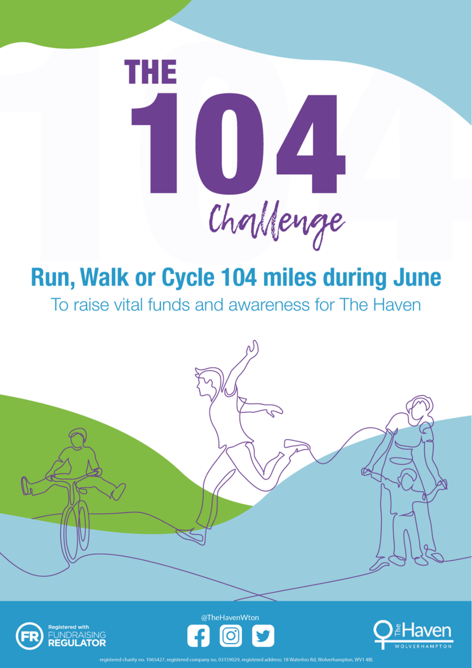

### **Run, Walk or Cycle 104 miles during June**

To raise vital funds and awareness for The Haven





@TheHavenWton



18 Waterloo Rd. Wolverhampton, WV1 4BI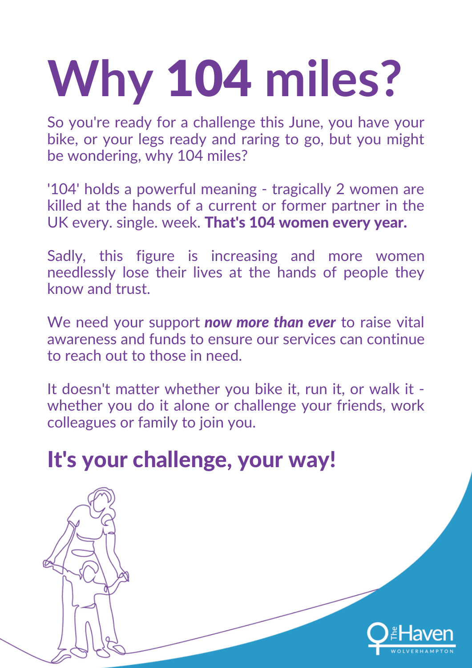# **Why** 104 **miles?**

So you're ready for a challenge this June, you have your bike, or your legs ready and raring to go, but you might be wondering, why 104 miles?

'104' holds a powerful meaning - tragically 2 women are killed at the hands of a current or former partner in the UK every. single. week. That's 104 women every year.

Sadly, this figure is increasing and more women needlessly lose their lives at the hands of people they know and trust.

We need your support *now more than ever* to raise vital awareness and funds to ensure our services can continue to reach out to those in need.

It doesn't matter whether you bike it, run it, or walk it whether you do it alone or challenge your friends, work colleagues or family to join you.

#### It's your challenge, your way!

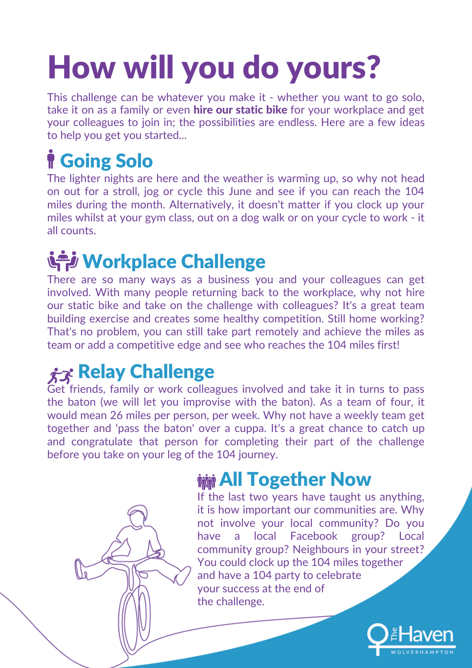### How will you do yours?

This challenge can be whatever you make it - whether you want to go solo, take it on as a family or even **hire our static bike** for your workplace and get your colleagues to join in; the possibilities are endless. Here are a few ideas to help you get you started...

#### **f** Going Solo

The lighter nights are here and the weather is warming up, so why not head on out for a stroll, jog or cycle this June and see if you can reach the 104 miles during the month. Alternatively, it doesn't matter if you clock up your miles whilst at your gym class, out on a dog walk or on your cycle to work - it all counts.

#### Workplace Challenge

There are so many ways as a business you and your colleagues can get involved. With many people returning back to the workplace, why not hire our static bike and take on the challenge with colleagues? It's a great team building exercise and creates some healthy competition. Still home working? That's no problem, you can still take part remotely and achieve the miles as team or add a competitive edge and see who reaches the 104 miles first!

#### $\hat{\chi}$ <sub> $\hat{\chi}$ </sub> Relay Challenge

Get friends, family or work colleagues involved and take it in turns to pass the baton (we will let you improvise with the baton). As a team of four, it would mean 26 miles per person, per week. Why not have a weekly team get together and 'pass the baton' over a cuppa. It's a great chance to catch up and congratulate that person for completing their part of the challenge before you take on your leg of the 104 journey.

#### **MMM All Together Now**

If the last two years have taught us anything, it is how important our communities are. Why not involve your local community? Do you have a local Facebook group? Local community group? Neighbours in your street? You could clock up the 104 miles together and have a 104 party to celebrate your success at the end of the challenge.